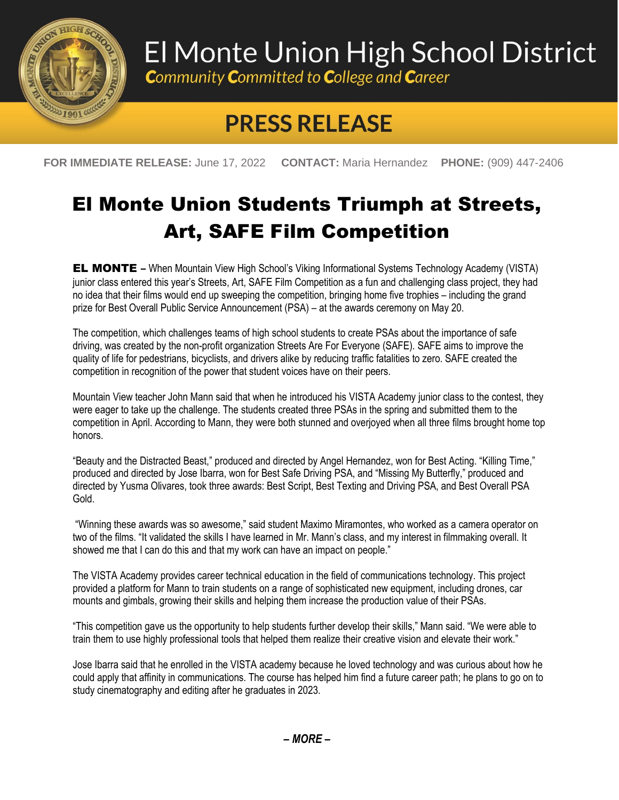

## El Monte Union High School District

**Community Committed to College and Career** 

## **PRESS RELEASE**

**FOR IMMEDIATE RELEASE:** June 17, 2022 **CONTACT:** Maria Hernandez **PHONE:** (909) 447-2406

## El Monte Union Students Triumph at Streets, Art, SAFE Film Competition

EL MONTE **–** When Mountain View High School's Viking Informational Systems Technology Academy (VISTA) junior class entered this year's Streets, Art, SAFE Film Competition as a fun and challenging class project, they had no idea that their films would end up sweeping the competition, bringing home five trophies – including the grand prize for Best Overall Public Service Announcement (PSA) – at the awards ceremony on May 20.

The competition, which challenges teams of high school students to create PSAs about the importance of safe driving, was created by the non-profit organization Streets Are For Everyone (SAFE). SAFE aims to improve the quality of life for pedestrians, bicyclists, and drivers alike by reducing traffic fatalities to zero. SAFE created the competition in recognition of the power that student voices have on their peers.

Mountain View teacher John Mann said that when he introduced his VISTA Academy junior class to the contest, they were eager to take up the challenge. The students created three PSAs in the spring and submitted them to the competition in April. According to Mann, they were both stunned and overjoyed when all three films brought home top honors.

"Beauty and the Distracted Beast," produced and directed by Angel Hernandez, won for Best Acting. "Killing Time," produced and directed by Jose Ibarra, won for Best Safe Driving PSA, and "Missing My Butterfly," produced and directed by Yusma Olivares, took three awards: Best Script, Best Texting and Driving PSA, and Best Overall PSA Gold.

"Winning these awards was so awesome," said student Maximo Miramontes, who worked as a camera operator on two of the films. "It validated the skills I have learned in Mr. Mann's class, and my interest in filmmaking overall. It showed me that I can do this and that my work can have an impact on people."

The VISTA Academy provides career technical education in the field of communications technology. This project provided a platform for Mann to train students on a range of sophisticated new equipment, including drones, car mounts and gimbals, growing their skills and helping them increase the production value of their PSAs.

"This competition gave us the opportunity to help students further develop their skills," Mann said. "We were able to train them to use highly professional tools that helped them realize their creative vision and elevate their work."

Jose Ibarra said that he enrolled in the VISTA academy because he loved technology and was curious about how he could apply that affinity in communications. The course has helped him find a future career path; he plans to go on to study cinematography and editing after he graduates in 2023.